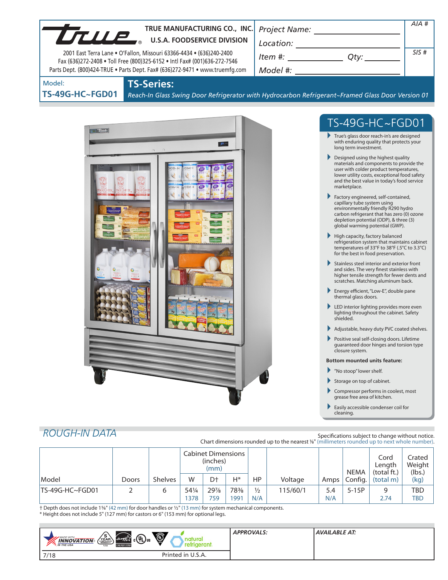| TRUE MANUFACTURING CO., INC.                                                                                                                                                                                                      | Project Name: ______________________                                                                                                                                                                                                                        | $AIA$ # |
|-----------------------------------------------------------------------------------------------------------------------------------------------------------------------------------------------------------------------------------|-------------------------------------------------------------------------------------------------------------------------------------------------------------------------------------------------------------------------------------------------------------|---------|
| True.<br><b>U.S.A. FOODSERVICE DIVISION</b>                                                                                                                                                                                       |                                                                                                                                                                                                                                                             |         |
| 2001 East Terra Lane . O'Fallon, Missouri 63366-4434 . (636)240-2400<br>Fax (636)272-2408 . Toll Free (800)325-6152 . Intl Fax# (001)636-272-7546<br>Parts Dept. (800)424-TRUE . Parts Dept. Fax# (636)272-9471 . www.truemfg.com | $\begin{array}{c}\n\text{Location:}\n\\ \hline\n\text{Item } \#: \begin{array}{c}\n\hline\n\end{array} Q \text{ty:}\n\end{array}$                                                                                                                           | SIS#    |
| <b>TS-Series:</b><br>Model:                                                                                                                                                                                                       |                                                                                                                                                                                                                                                             |         |
| <b>TS-49G-HC~FGD01</b>                                                                                                                                                                                                            | Reach-In Glass Swing Door Refrigerator with Hydrocarbon Refrigerant~Framed Glass Door Version 01                                                                                                                                                            |         |
|                                                                                                                                                                                                                                   |                                                                                                                                                                                                                                                             |         |
| <b>Druc</b>                                                                                                                                                                                                                       | TS-49G-HC~FGD01                                                                                                                                                                                                                                             |         |
| $32 -$                                                                                                                                                                                                                            | True's glass door reach-in's are designed<br>with enduring quality that protects your<br>long term investment.                                                                                                                                              |         |
| IF ABOR<br><b>MOF CHE</b>                                                                                                                                                                                                         | $\blacktriangleright$ Designed using the highest quality<br>materials and components to provide the<br>user with colder product temperatures,<br>lower utility costs, exceptional food safety<br>and the best value in today's food service<br>marketplace. |         |
|                                                                                                                                                                                                                                   | Factory engineered, self-contained,<br>capillary tube system using<br>environmentally friendly R290 hydro<br>carbon refrigerant that has zero (0) ozone<br>depletion potential (ODP), & three (3)<br>global warming potential (GWP).                        |         |
|                                                                                                                                                                                                                                   | High capacity, factory balanced<br>refrigeration system that maintains cabinet<br>temperatures of 33°F to 38°F (.5°C to 3.3°C)<br>for the best in food preservation.                                                                                        |         |
|                                                                                                                                                                                                                                   | Stainless steel interior and exterior front<br>and sides. The very finest stainless with<br>higher tensile strength for fewer dents and<br>scratches. Matching aluminum back.                                                                               |         |
|                                                                                                                                                                                                                                   | Energy efficient, "Low-E", double pane<br>thermal glass doors.                                                                                                                                                                                              |         |
|                                                                                                                                                                                                                                   | LED interior lighting provides more even<br>lighting throughout the cabinet. Safety<br>shielded.                                                                                                                                                            |         |
|                                                                                                                                                                                                                                   | Adjustable, heavy duty PVC coated shelves.                                                                                                                                                                                                                  |         |
|                                                                                                                                                                                                                                   | Positive seal self-closing doors. Lifetime<br>guaranteed door hinges and torsion type<br>closure system.                                                                                                                                                    |         |
|                                                                                                                                                                                                                                   | <b>Bottom mounted units feature:</b>                                                                                                                                                                                                                        |         |
|                                                                                                                                                                                                                                   | "No stoop" lower shelf.<br>▶                                                                                                                                                                                                                                |         |
|                                                                                                                                                                                                                                   | Storage on top of cabinet.<br>Compressor performs in coolest, most                                                                                                                                                                                          |         |
|                                                                                                                                                                                                                                   | grease free area of kitchen.                                                                                                                                                                                                                                |         |
|                                                                                                                                                                                                                                   | Easily accessible condenser coil for<br>cleaning.                                                                                                                                                                                                           |         |

# *ROUGH-IN DATA*

Specifications subject to change without notice. Chart dimensions rounded up to the nearest <sup>1</sup>/8" (millimeters rounded up to next whole number).

|                 |       |                | <b>Cabinet Dimensions</b><br>(inches)<br>(mm) |                |     |               |          | <b>NEMA</b> | Cord<br>Length<br>(total ft.) | Crated<br>Weight<br>(lbs.) |      |
|-----------------|-------|----------------|-----------------------------------------------|----------------|-----|---------------|----------|-------------|-------------------------------|----------------------------|------|
| Model           | Doors | <b>Shelves</b> | W                                             | D <sup>+</sup> | Н*  | НP            | Voltage  | Amps        | Config.                       | (total m)                  | (kg) |
| TS-49G-HC~FGD01 |       | ь              | 541/4                                         | 29%            | 78% | $\frac{1}{2}$ | 115/60/1 | 5.4         | $5-15P$                       | 9                          | TBD  |
|                 |       |                | 1378                                          | 759            | 991 | N/A           |          | N/A         |                               | 2.74                       | TBD  |

† Depth does not include 15/8" (42 mm) for door handles or 1/2" (13 mm) for system mechanical components. \* Height does not include 5" (127 mm) for castors or 6" (153 mm) for optional legs.

| $\sqrt{\frac{5}{\text{YEAR}}}\$<br><b>MADE WITH</b><br><b>INNOVATION</b><br><b>M</b> THE USA<br><b>USA</b> | $\ddot{\mathbb{Q}}$<br>$\mathbf{a}^{\text{c}}$ (UL) $\mathbf{a}$<br>energy<br><b>ENERGY STAF</b> | <b>APPROVALS:</b> | AVAILABLE AT: |
|------------------------------------------------------------------------------------------------------------|--------------------------------------------------------------------------------------------------|-------------------|---------------|
| 7/18                                                                                                       | Printed in U.S.A.                                                                                |                   |               |